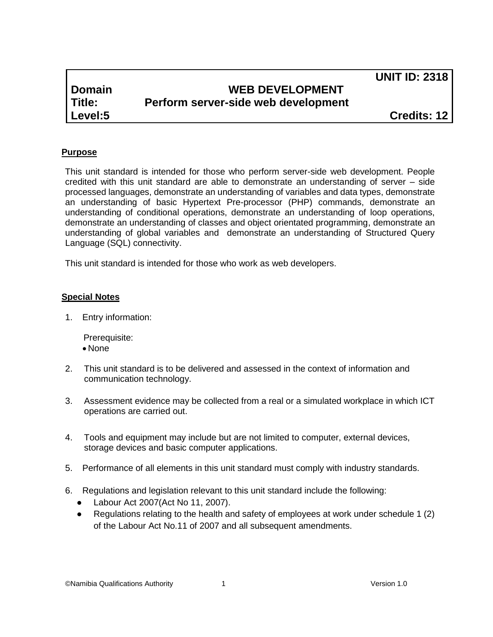**UNIT ID: 2318**

# **Domain WEB DEVELOPMENT Title: Perform server-side web development**

**Level:5 Credits: 12**

## **Purpose**

This unit standard is intended for those who perform server-side web development. People credited with this unit standard are able to demonstrate an understanding of server – side processed languages, demonstrate an understanding of variables and data types, demonstrate an understanding of basic Hypertext Pre-processor (PHP) commands, demonstrate an understanding of conditional operations, demonstrate an understanding of loop operations, demonstrate an understanding of classes and object orientated programming, demonstrate an understanding of global variables and demonstrate an understanding of Structured Query Language (SQL) connectivity.

This unit standard is intended for those who work as web developers.

#### **Special Notes**

1. Entry information:

Prerequisite:

- None
- 2. This unit standard is to be delivered and assessed in the context of information and communication technology.
- 3. Assessment evidence may be collected from a real or a simulated workplace in which ICT operations are carried out.
- 4. Tools and equipment may include but are not limited to computer, external devices, storage devices and basic computer applications.
- 5. Performance of all elements in this unit standard must comply with industry standards.
- 6. Regulations and legislation relevant to this unit standard include the following:
	- Labour Act 2007(Act No 11, 2007).
	- Regulations relating to the health and safety of employees at work under schedule 1 (2) of the Labour Act No.11 of 2007 and all subsequent amendments.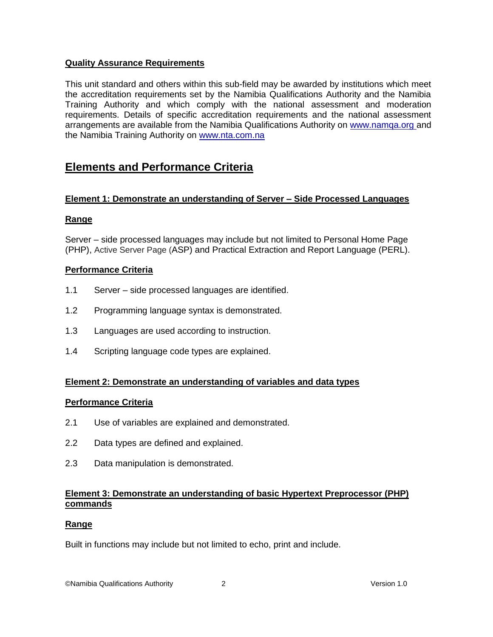## **Quality Assurance Requirements**

This unit standard and others within this sub-field may be awarded by institutions which meet the accreditation requirements set by the Namibia Qualifications Authority and the Namibia Training Authority and which comply with the national assessment and moderation requirements. Details of specific accreditation requirements and the national assessment arrangements are available from the Namibia Qualifications Authority on [www.namqa.org a](http://www.namqa.org/)nd the Namibia Training Authority on [www.nta.com.na](http://www.nta.com.na/)

# **Elements and Performance Criteria**

## **Element 1: Demonstrate an understanding of Server – Side Processed Languages**

## **Range**

Server – side processed languages may include but not limited to Personal Home Page (PHP), Active Server Page (ASP) and Practical Extraction and Report Language (PERL).

#### **Performance Criteria**

- 1.1 Server side processed languages are identified.
- 1.2 Programming language syntax is demonstrated.
- 1.3 Languages are used according to instruction.
- 1.4 Scripting language code types are explained.

#### **Element 2: Demonstrate an understanding of variables and data types**

#### **Performance Criteria**

- 2.1 Use of variables are explained and demonstrated.
- 2.2 Data types are defined and explained.
- 2.3 Data manipulation is demonstrated.

#### **Element 3: Demonstrate an understanding of basic Hypertext Preprocessor (PHP) commands**

#### **Range**

Built in functions may include but not limited to echo, print and include.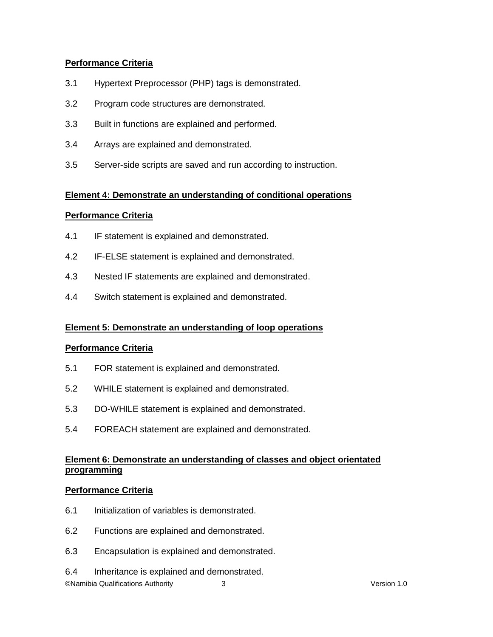## **Performance Criteria**

- 3.1 Hypertext Preprocessor (PHP) tags is demonstrated.
- 3.2 Program code structures are demonstrated.
- 3.3 Built in functions are explained and performed.
- 3.4 Arrays are explained and demonstrated.
- 3.5 Server-side scripts are saved and run according to instruction.

#### **Element 4: Demonstrate an understanding of conditional operations**

#### **Performance Criteria**

- 4.1 IF statement is explained and demonstrated.
- 4.2 IF-ELSE statement is explained and demonstrated.
- 4.3 Nested IF statements are explained and demonstrated.
- 4.4 Switch statement is explained and demonstrated.

#### **Element 5: Demonstrate an understanding of loop operations**

#### **Performance Criteria**

- 5.1 FOR statement is explained and demonstrated.
- 5.2 WHILE statement is explained and demonstrated.
- 5.3 DO-WHILE statement is explained and demonstrated.
- 5.4 FOREACH statement are explained and demonstrated.

## **Element 6: Demonstrate an understanding of classes and object orientated programming**

#### **Performance Criteria**

- 6.1 Initialization of variables is demonstrated.
- 6.2 Functions are explained and demonstrated.
- 6.3 Encapsulation is explained and demonstrated.
- 6.4 Inheritance is explained and demonstrated.